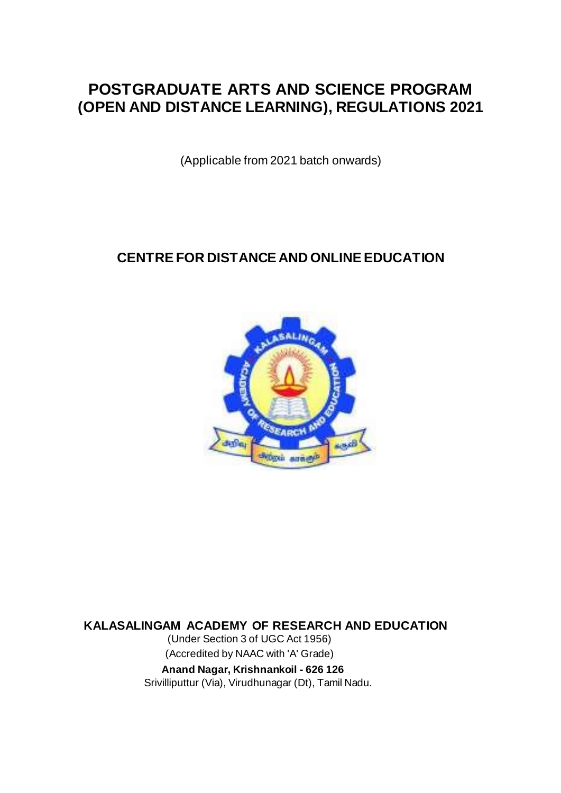# **POSTGRADUATE ARTS AND SCIENCE PROGRAM (OPEN AND DISTANCE LEARNING), REGULATIONS 2021**

(Applicable from 2021 batch onwards)

# **CENTRE FOR DISTANCE AND ONLINE EDUCATION**



**KALASALINGAM ACADEMY OF RESEARCH AND EDUCATION**

(Under Section 3 of UGC Act 1956) (Accredited by NAAC with 'A' Grade)  **Anand Nagar, Krishnankoil - 626 126** Srivilliputtur (Via), Virudhunagar (Dt), Tamil Nadu.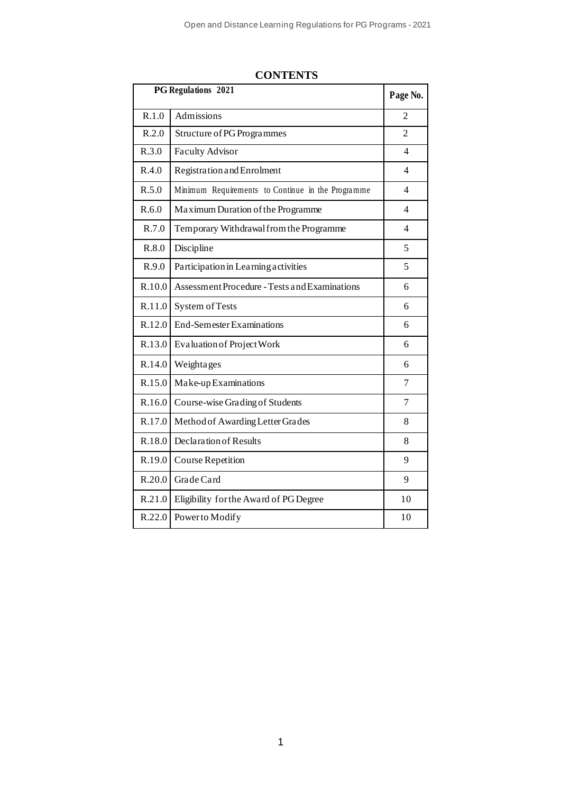| <b>PG Regulations 2021</b> |                                                   |                          |
|----------------------------|---------------------------------------------------|--------------------------|
| R.1.0                      | Admissions                                        | 2                        |
| R.2.0                      | Structure of PG Programmes                        | $\overline{2}$           |
| R.3.0                      | <b>Faculty Advisor</b>                            | 4                        |
| R.4.0                      | Registration and Enrolment                        | $\overline{\mathcal{L}}$ |
| R.5.0                      | Minimum Requirements to Continue in the Programme | $\overline{\mathcal{A}}$ |
| R.6.0                      | Maximum Duration of the Programme                 | 4                        |
| R.7.0                      | Temporary Withdrawal from the Programme           | $\overline{\mathcal{L}}$ |
| R.8.0                      | Discipline                                        | 5                        |
| R.9.0                      | Participation in Learning activities              | 5                        |
| R.10.0                     | Assessment Procedure - Tests and Examinations     | 6                        |
| R.11.0                     | System of Tests                                   | 6                        |
| R.12.0                     | <b>End-Semester Examinations</b>                  | 6                        |
| R.13.0                     | Evaluation of Project Work                        | 6                        |
| R.14.0                     | Weightages                                        | 6                        |
| R.15.0                     | Make-up Examinations                              | 7                        |
| R.16.0                     | Course-wise Grading of Students                   | 7                        |
| R.17.0                     | Method of Awarding Letter Grades                  | 8                        |
| R.18.0                     | Declaration of Results                            | 8                        |
| R.19.0                     | <b>Course Repetition</b>                          | 9                        |
| R.20.0                     | Grade Card                                        | 9                        |
| R.21.0                     | Eligibility for the Award of PG Degree            | 10                       |
| R.22.0                     | Power to Modify                                   | 10                       |

# **CONTENTS**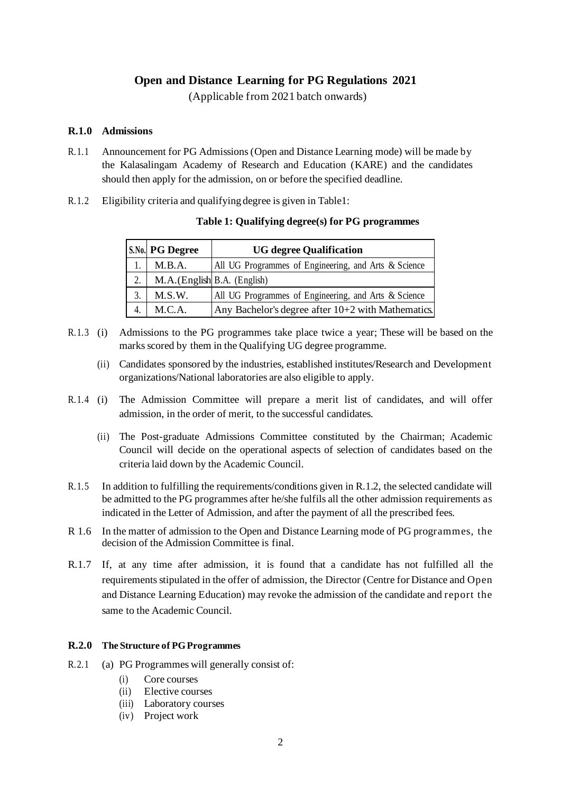# **Open and Distance Learning for PG Regulations 2021**

(Applicable from 2021 batch onwards)

#### **R.1.0 Admissions**

- R.1.1 Announcement for PG Admissions (Open and Distance Learning mode) will be made by the Kalasalingam Academy of Research and Education (KARE) and the candidates should then apply for the admission, on or before the specified deadline.
- R.1.2 Eligibility criteria and qualifying degree is given in Table1:

## **Table 1: Qualifying degree(s) for PG programmes**

|    | S.No. PG Degree              | <b>UG degree Qualification</b>                       |
|----|------------------------------|------------------------------------------------------|
|    | M.B.A.                       | All UG Programmes of Engineering, and Arts & Science |
| 2. | M.A. (English B.A. (English) |                                                      |
| 3. | M.S.W.                       | All UG Programmes of Engineering, and Arts & Science |
|    | M.C.A.                       | Any Bachelor's degree after 10+2 with Mathematics.   |

- R.1.3 (i) Admissions to the PG programmes take place twice a year; These will be based on the marks scored by them in the Qualifying UG degree programme.
	- (ii) Candidates sponsored by the industries, established institutes/Research and Development organizations/National laboratories are also eligible to apply.
- R.1.4 (i) The Admission Committee will prepare a merit list of candidates, and will offer admission, in the order of merit, to the successful candidates.
	- (ii) The Post-graduate Admissions Committee constituted by the Chairman; Academic Council will decide on the operational aspects of selection of candidates based on the criteria laid down by the Academic Council.
- R.1.5 In addition to fulfilling the requirements/conditions given in R.1.2, the selected candidate will be admitted to the PG programmes after he/she fulfils all the other admission requirements as indicated in the Letter of Admission, and after the payment of all the prescribed fees.
- R 1.6 In the matter of admission to the Open and Distance Learning mode of PG programmes, the decision of the Admission Committee is final.
- R.1.7 If, at any time after admission, it is found that a candidate has not fulfilled all the requirements stipulated in the offer of admission, the Director (Centre for Distance and Open and Distance Learning Education) may revoke the admission of the candidate and report the same to the Academic Council.

#### **R.2.0 The Structure of PG Programmes**

- R.2.1 (a) PG Programmes will generally consist of:
	- (i) Core courses
	- (ii) Elective courses
	- (iii) Laboratory courses
	- (iv) Project work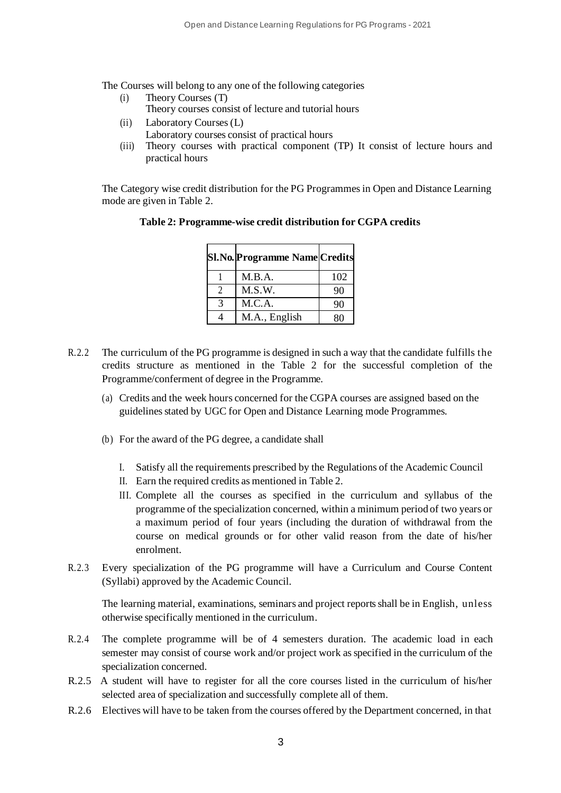The Courses will belong to any one of the following categories

- (i) Theory Courses (T) Theory courses consist of lecture and tutorial hours
- (ii) Laboratory Courses (L)
	- Laboratory courses consist of practical hours
- (iii) Theory courses with practical component (TP) It consist of lecture hours and practical hours

The Category wise credit distribution for the PG Programmes in Open and Distance Learning mode are given in Table 2.

| <b>Sl.No.</b> Programme Name Credits |     |
|--------------------------------------|-----|
| M.B.A.                               | 102 |
| M.S.W.                               | 90  |
| M.C.A.                               | 90  |
| M.A., English                        |     |

# **Table 2: Programme-wise credit distribution for CGPA credits**

- R.2.2 The curriculum of the PG programme is designed in such a way that the candidate fulfills the credits structure as mentioned in the Table 2 for the successful completion of the Programme/conferment of degree in the Programme.
	- (a) Credits and the week hours concerned for the CGPA courses are assigned based on the guidelines stated by UGC for Open and Distance Learning mode Programmes.
	- (b) For the award of the PG degree, a candidate shall
		- I. Satisfy all the requirements prescribed by the Regulations of the Academic Council
		- II. Earn the required credits as mentioned in Table 2.
		- III. Complete all the courses as specified in the curriculum and syllabus of the programme of the specialization concerned, within a minimum period of two years or a maximum period of four years (including the duration of withdrawal from the course on medical grounds or for other valid reason from the date of his/her enrolment.
- R.2.3 Every specialization of the PG programme will have a Curriculum and Course Content (Syllabi) approved by the Academic Council.

The learning material, examinations, seminars and project reports shall be in English, unless otherwise specifically mentioned in the curriculum.

- R.2.4 The complete programme will be of 4 semesters duration. The academic load in each semester may consist of course work and/or project work as specified in the curriculum of the specialization concerned.
- R.2.5 A student will have to register for all the core courses listed in the curriculum of his/her selected area of specialization and successfully complete all of them.
- R.2.6 Electives will have to be taken from the courses offered by the Department concerned, in that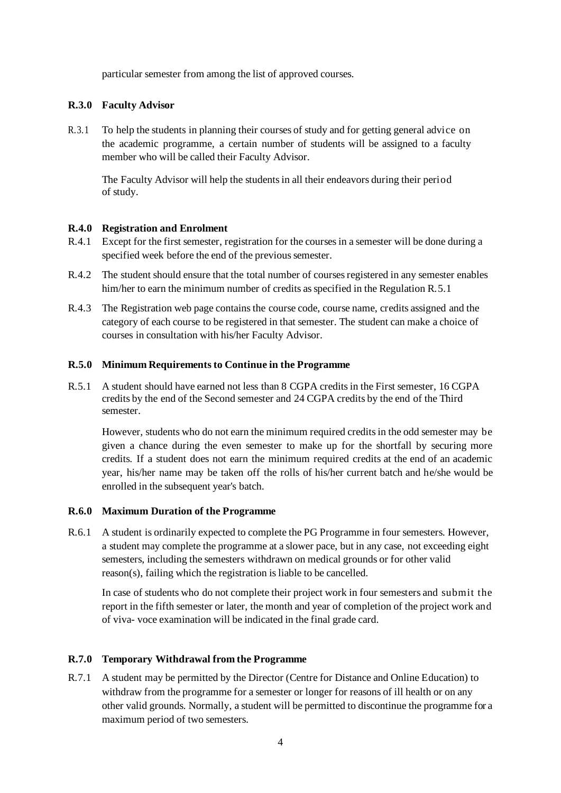particular semester from among the list of approved courses.

# **R.3.0 Faculty Advisor**

R.3.1 To help the students in planning their courses of study and for getting general advice on the academic programme, a certain number of students will be assigned to a faculty member who will be called their Faculty Advisor.

The Faculty Advisor will help the students in all their endeavors during their period of study.

# **R.4.0 Registration and Enrolment**

- R.4.1 Except for the first semester, registration for the courses in a semester will be done during a specified week before the end of the previous semester.
- R.4.2 The student should ensure that the total number of courses registered in any semester enables him/her to earn the minimum number of credits as specified in the Regulation R.5.1
- R.4.3 The Registration web page contains the course code, course name, credits assigned and the category of each course to be registered in that semester. The student can make a choice of courses in consultation with his/her Faculty Advisor.

## **R.5.0 Minimum Requirements to Continue in the Programme**

R.5.1 A student should have earned not less than 8 CGPA credits in the First semester, 16 CGPA credits by the end of the Second semester and 24 CGPA credits by the end of the Third semester.

However, students who do not earn the minimum required credits in the odd semester may be given a chance during the even semester to make up for the shortfall by securing more credits. If a student does not earn the minimum required credits at the end of an academic year, his/her name may be taken off the rolls of his/her current batch and he/she would be enrolled in the subsequent year's batch.

#### **R.6.0 Maximum Duration of the Programme**

R.6.1 A student is ordinarily expected to complete the PG Programme in four semesters. However, a student may complete the programme at a slower pace, but in any case, not exceeding eight semesters, including the semesters withdrawn on medical grounds or for other valid reason(s), failing which the registration is liable to be cancelled.

In case of students who do not complete their project work in four semesters and submit the report in the fifth semester or later, the month and year of completion of the project work and of viva- voce examination will be indicated in the final grade card.

# **R.7.0 Temporary Withdrawal from the Programme**

R.7.1 A student may be permitted by the Director (Centre for Distance and Online Education) to withdraw from the programme for a semester or longer for reasons of ill health or on any other valid grounds. Normally, a student will be permitted to discontinue the programme for a maximum period of two semesters.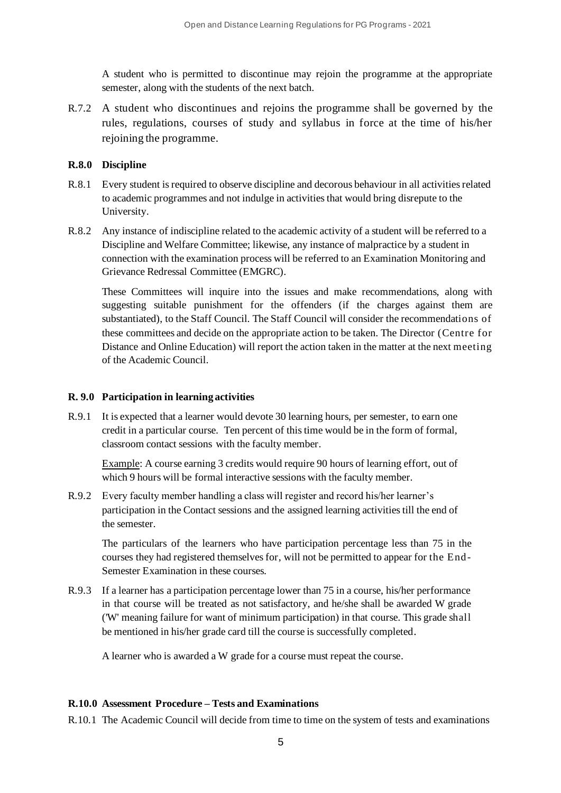A student who is permitted to discontinue may rejoin the programme at the appropriate semester, along with the students of the next batch.

R.7.2 A student who discontinues and rejoins the programme shall be governed by the rules, regulations, courses of study and syllabus in force at the time of his/her rejoining the programme.

#### **R.8.0 Discipline**

- R.8.1 Every student is required to observe discipline and decorous behaviour in all activities related to academic programmes and not indulge in activities that would bring disrepute to the University.
- R.8.2 Any instance of indiscipline related to the academic activity of a student will be referred to a Discipline and Welfare Committee; likewise, any instance of malpractice by a student in connection with the examination process will be referred to an Examination Monitoring and Grievance Redressal Committee (EMGRC).

These Committees will inquire into the issues and make recommendations, along with suggesting suitable punishment for the offenders (if the charges against them are substantiated), to the Staff Council. The Staff Council will consider the recommendations of these committees and decide on the appropriate action to be taken. The Director (Centre for Distance and Online Education) will report the action taken in the matter at the next meeting of the Academic Council.

#### **R. 9.0 Participation in learning activities**

R.9.1 It is expected that a learner would devote 30 learning hours, per semester, to earn one credit in a particular course. Ten percent of this time would be in the form of formal, classroom contact sessions with the faculty member.

Example: A course earning 3 credits would require 90 hours of learning effort, out of which 9 hours will be formal interactive sessions with the faculty member.

R.9.2 Every faculty member handling a class will register and record his/her learner's participation in the Contact sessions and the assigned learning activities till the end of the semester.

The particulars of the learners who have participation percentage less than 75 in the courses they had registered themselves for, will not be permitted to appear for the End-Semester Examination in these courses.

R.9.3 If a learner has a participation percentage lower than 75 in a course, his/her performance in that course will be treated as not satisfactory, and he/she shall be awarded W grade ('W' meaning failure for want of minimum participation) in that course. This grade shall be mentioned in his/her grade card till the course is successfully completed.

A learner who is awarded a W grade for a course must repeat the course.

#### **R.10.0 Assessment Procedure – Tests and Examinations**

R.10.1 The Academic Council will decide from time to time on the system of tests and examinations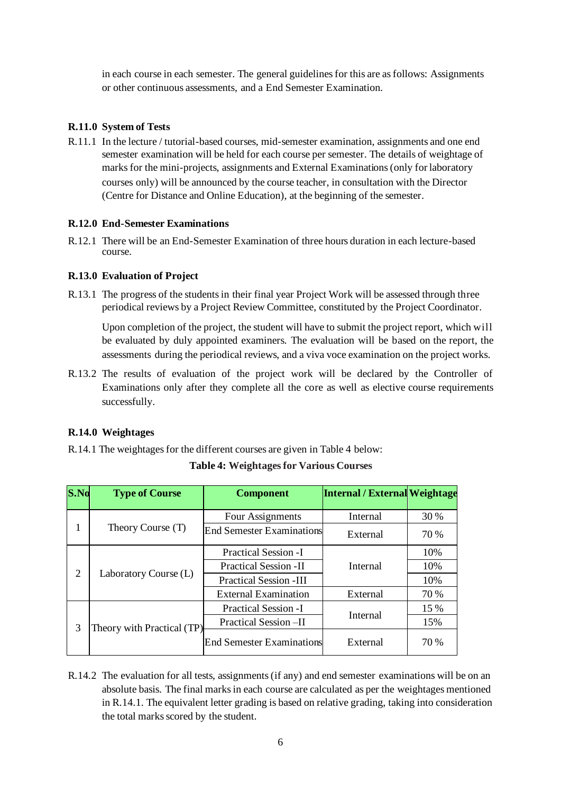in each course in each semester. The general guidelines for this are as follows: Assignments or other continuous assessments, and a End Semester Examination.

# **R.11.0 System of Tests**

R.11.1 In the lecture / tutorial-based courses, mid-semester examination, assignments and one end semester examination will be held for each course per semester. The details of weightage of marks for the mini-projects, assignments and External Examinations (only for laboratory courses only) will be announced by the course teacher, in consultation with the Director (Centre for Distance and Online Education), at the beginning of the semester.

# **R.12.0 End-Semester Examinations**

R.12.1 There will be an End-Semester Examination of three hours duration in each lecture-based course.

# **R.13.0 Evaluation of Project**

R.13.1 The progress of the students in their final year Project Work will be assessed through three periodical reviews by a Project Review Committee, constituted by the Project Coordinator.

Upon completion of the project, the student will have to submit the project report, which will be evaluated by duly appointed examiners. The evaluation will be based on the report, the assessments during the periodical reviews, and a viva voce examination on the project works.

R.13.2 The results of evaluation of the project work will be declared by the Controller of Examinations only after they complete all the core as well as elective course requirements successfully.

# **R.14.0 Weightages**

R.14.1 The weightages for the different courses are given in Table 4 below:

| S.No           | <b>Type of Course</b>      | <b>Component</b>                 | Internal / External Weightage |      |
|----------------|----------------------------|----------------------------------|-------------------------------|------|
| 1              | Theory Course (T)          | Four Assignments                 | Internal                      | 30 % |
|                |                            | <b>End Semester Examinations</b> | External                      | 70 % |
| $\overline{2}$ | Laboratory Course (L)      | <b>Practical Session -I</b>      |                               | 10%  |
|                |                            | <b>Practical Session -II</b>     | Internal                      | 10%  |
|                |                            | <b>Practical Session -III</b>    |                               | 10%  |
|                |                            | <b>External Examination</b>      | External                      | 70 % |
| 3              | Theory with Practical (TP) | <b>Practical Session -I</b>      |                               | 15 % |
|                |                            | Practical Session-II             | Internal                      | 15%  |
|                |                            | <b>End Semester Examinations</b> | External                      | 70 % |

**Table 4: Weightages for Various Courses**

R.14.2 The evaluation for all tests, assignments (if any) and end semester examinations will be on an absolute basis. The final marks in each course are calculated as per the weightages mentioned in R.14.1. The equivalent letter grading is based on relative grading, taking into consideration the total marks scored by the student.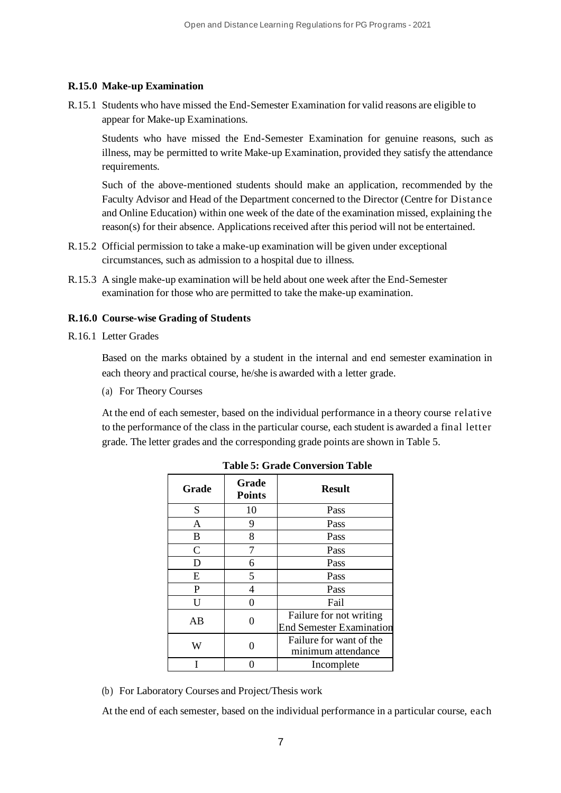# **R.15.0 Make-up Examination**

R.15.1 Students who have missed the End-Semester Examination for valid reasons are eligible to appear for Make-up Examinations.

Students who have missed the End-Semester Examination for genuine reasons, such as illness, may be permitted to write Make-up Examination, provided they satisfy the attendance requirements.

Such of the above-mentioned students should make an application, recommended by the Faculty Advisor and Head of the Department concerned to the Director (Centre for Distance and Online Education) within one week of the date of the examination missed, explaining the reason(s) for their absence. Applications received after this period will not be entertained.

- R.15.2 Official permission to take a make-up examination will be given under exceptional circumstances, such as admission to a hospital due to illness.
- R.15.3 A single make-up examination will be held about one week after the End-Semester examination for those who are permitted to take the make-up examination.

#### **R.16.0 Course-wise Grading of Students**

R.16.1 Letter Grades

Based on the marks obtained by a student in the internal and end semester examination in each theory and practical course, he/she is awarded with a letter grade.

(a) For Theory Courses

At the end of each semester, based on the individual performance in a theory course relative to the performance of the class in the particular course, each student is awarded a final letter grade. The letter grades and the corresponding grade points are shown in Table 5.

| Grade        | Grade<br><b>Points</b> | <b>Result</b>                                              |
|--------------|------------------------|------------------------------------------------------------|
| S            | 10                     | Pass                                                       |
| A            | 9                      | Pass                                                       |
| B            | 8                      | Pass                                                       |
| $\mathsf{C}$ |                        | Pass                                                       |
| D            | 6                      | Pass                                                       |
| E            | 5                      | Pass                                                       |
| $\mathbf{P}$ | 4                      | Pass                                                       |
| U            |                        | Fail                                                       |
| AB           |                        | Failure for not writing<br><b>End Semester Examination</b> |
| W            |                        | Failure for want of the<br>minimum attendance              |
|              |                        | Incomplete                                                 |

**Table 5: Grade Conversion Table**

(b) For Laboratory Courses and Project/Thesis work

At the end of each semester, based on the individual performance in a particular course, each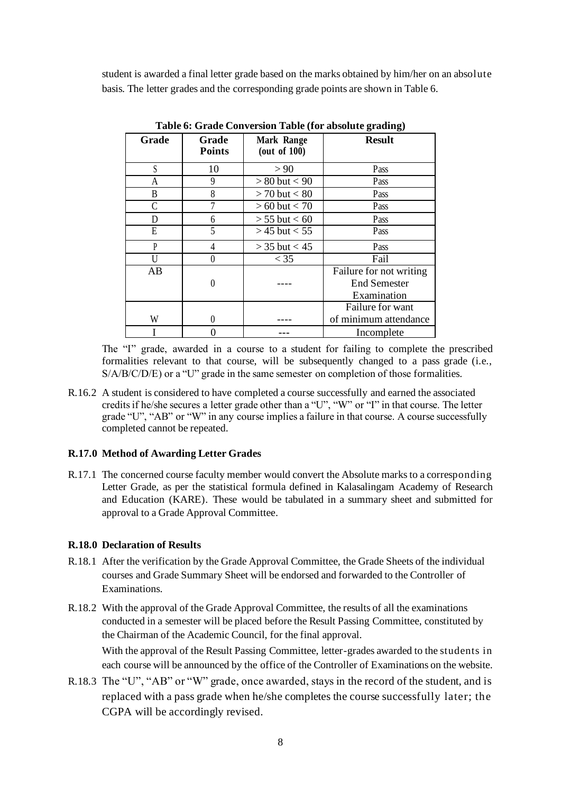student is awarded a final letter grade based on the marks obtained by him/her on an absolute basis. The letter grades and the corresponding grade points are shown in Table 6.

| $5 - 1 - 1$ |                        |                               |                         |
|-------------|------------------------|-------------------------------|-------------------------|
| Grade       | Grade<br><b>Points</b> | Mark Range<br>(out of $100$ ) | <b>Result</b>           |
| S           | 10                     | > 90                          | Pass                    |
| A           | 9                      | $> 80$ but $< 90$             | Pass                    |
| B           | 8                      | $> 70$ but $< 80$             | Pass                    |
|             |                        | $> 60$ but $< 70$             | Pass                    |
| D           | 6                      | $> 55$ but $< 60$             | Pass                    |
| E           | 5                      | $>$ 45 but $<$ 55             | Pass                    |
| P           | 4                      | $>$ 35 but $<$ 45             | Pass                    |
| U           | 0                      | $<$ 35                        | Fail                    |
| AB          |                        |                               | Failure for not writing |
|             | 0                      |                               | <b>End Semester</b>     |
|             |                        |                               | Examination             |
|             |                        |                               | Failure for want        |
| W           | 0                      |                               | of minimum attendance   |
|             |                        |                               | Incomplete              |

**Table 6: Grade Conversion Table (for absolute grading)**

The "I" grade, awarded in a course to a student for failing to complete the prescribed formalities relevant to that course, will be subsequently changed to a pass grade (i.e., S/A/B/C/D/E) or a "U" grade in the same semester on completion of those formalities.

R.16.2 A student is considered to have completed a course successfully and earned the associated credits if he/she secures a letter grade other than a "U", "W" or "I" in that course. The letter grade "U", "AB" or "W" in any course implies a failure in that course. A course successfully completed cannot be repeated.

#### **R.17.0 Method of Awarding Letter Grades**

R.17.1 The concerned course faculty member would convert the Absolute marks to a corresponding Letter Grade, as per the statistical formula defined in Kalasalingam Academy of Research and Education (KARE). These would be tabulated in a summary sheet and submitted for approval to a Grade Approval Committee.

### **R.18.0 Declaration of Results**

- R.18.1 After the verification by the Grade Approval Committee, the Grade Sheets of the individual courses and Grade Summary Sheet will be endorsed and forwarded to the Controller of Examinations.
- R.18.2 With the approval of the Grade Approval Committee, the results of all the examinations conducted in a semester will be placed before the Result Passing Committee, constituted by the Chairman of the Academic Council, for the final approval. With the approval of the Result Passing Committee, letter-grades awarded to the students in each course will be announced by the office of the Controller of Examinations on the website.
- R.18.3 The "U", "AB" or "W" grade, once awarded, stays in the record of the student, and is replaced with a pass grade when he/she completes the course successfully later; the CGPA will be accordingly revised.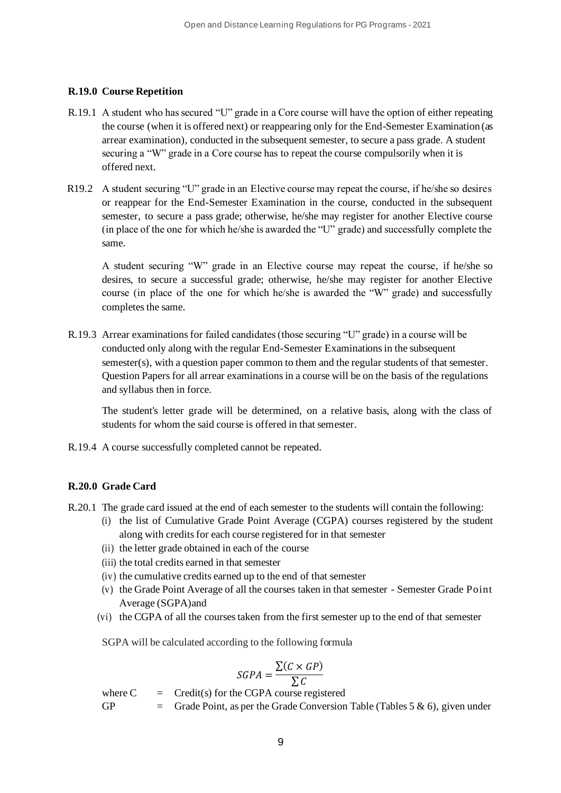# **R.19.0 Course Repetition**

- R.19.1 A student who has secured "U" grade in a Core course will have the option of either repeating the course (when it is offered next) or reappearing only for the End-Semester Examination (as arrear examination), conducted in the subsequent semester, to secure a pass grade. A student securing a "W" grade in a Core course has to repeat the course compulsorily when it is offered next.
- R19.2 A student securing "U" grade in an Elective course may repeat the course, if he/she so desires or reappear for the End-Semester Examination in the course, conducted in the subsequent semester, to secure a pass grade; otherwise, he/she may register for another Elective course (in place of the one for which he/she is awarded the "U" grade) and successfully complete the same.

A student securing "W" grade in an Elective course may repeat the course, if he/she so desires, to secure a successful grade; otherwise, he/she may register for another Elective course (in place of the one for which he/she is awarded the "W" grade) and successfully completes the same.

R.19.3 Arrear examinations for failed candidates (those securing "U" grade) in a course will be conducted only along with the regular End-Semester Examinations in the subsequent semester(s), with a question paper common to them and the regular students of that semester. Question Papers for all arrear examinations in a course will be on the basis of the regulations and syllabus then in force.

The student's letter grade will be determined, on a relative basis, along with the class of students for whom the said course is offered in that semester.

R.19.4 A course successfully completed cannot be repeated.

#### **R.20.0 Grade Card**

- R.20.1 The grade card issued at the end of each semester to the students will contain the following:
	- (i) the list of Cumulative Grade Point Average (CGPA) courses registered by the student along with credits for each course registered for in that semester
	- (ii) the letter grade obtained in each of the course
	- (iii) the total credits earned in that semester
	- (iv) the cumulative credits earned up to the end of that semester
	- (v) the Grade Point Average of all the courses taken in that semester Semester Grade Point Average (SGPA)and
	- (vi) the CGPA of all the courses taken from the first semester up to the end of that semester

SGPA will be calculated according to the following formula

$$
SGPA = \frac{\sum (C \times GP)}{\sum C}
$$

where  $C = C$  = Credit(s) for the CGPA course registered

GP  $=$  Grade Point, as per the Grade Conversion Table (Tables 5 & 6), given under